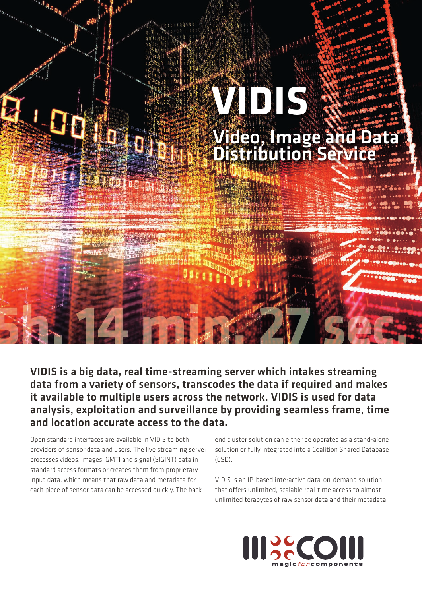

## VIDIS is a big data, real time-streaming server which intakes streaming data from a variety of sensors, transcodes the data if required and makes it available to multiple users across the network. VIDIS is used for data analysis, exploitation and surveillance by providing seamless frame, time and location accurate access to the data.

Open standard interfaces are available in VIDIS to both providers of sensor data and users. The live streaming server processes videos, images, GMTI and signal (SIGINT) data in standard access formats or creates them from proprietary input data, which means that raw data and metadata for each piece of sensor data can be accessed quickly. The back-

end cluster solution can either be operated as a stand-alone solution or fully integrated into a Coalition Shared Database (CSD).

VIDIS is an IP-based interactive data-on-demand solution that offers unlimited, scalable real-time access to almost unlimited terabytes of raw sensor data and their metadata.